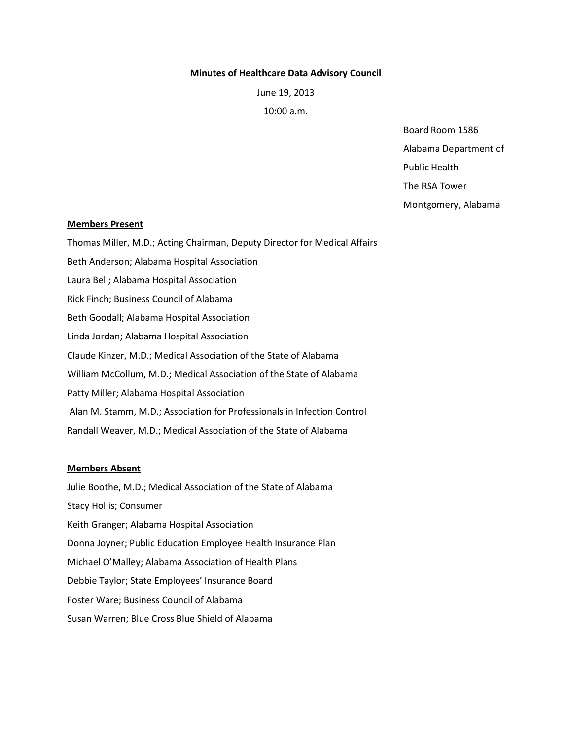#### **Minutes of Healthcare Data Advisory Council**

June 19, 2013

10:00 a.m.

Board Room 1586 Alabama Department of Public Health The RSA Tower

Montgomery, Alabama

### **Members Present**

Thomas Miller, M.D.; Acting Chairman, Deputy Director for Medical Affairs Beth Anderson; Alabama Hospital Association Laura Bell; Alabama Hospital Association Rick Finch; Business Council of Alabama Beth Goodall; Alabama Hospital Association Linda Jordan; Alabama Hospital Association Claude Kinzer, M.D.; Medical Association of the State of Alabama William McCollum, M.D.; Medical Association of the State of Alabama Patty Miller; Alabama Hospital Association Alan M. Stamm, M.D.; Association for Professionals in Infection Control Randall Weaver, M.D.; Medical Association of the State of Alabama

# **Members Absent**

Julie Boothe, M.D.; Medical Association of the State of Alabama Stacy Hollis; Consumer Keith Granger; Alabama Hospital Association Donna Joyner; Public Education Employee Health Insurance Plan Michael O'Malley; Alabama Association of Health Plans Debbie Taylor; State Employees' Insurance Board Foster Ware; Business Council of Alabama Susan Warren; Blue Cross Blue Shield of Alabama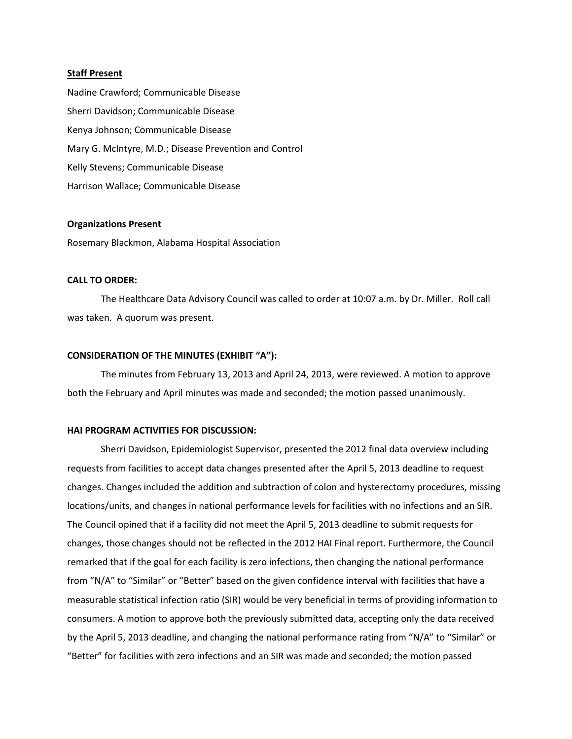#### **Staff Present**

Nadine Crawford; Communicable Disease Sherri Davidson; Communicable Disease Kenya Johnson; Communicable Disease Mary G. McIntyre, M.D.; Disease Prevention and Control Kelly Stevens; Communicable Disease Harrison Wallace; Communicable Disease

#### **Organizations Present**

Rosemary Blackmon, Alabama Hospital Association

### **CALL TO ORDER:**

The Healthcare Data Advisory Council was called to order at 10:07 a.m. by Dr. Miller. Roll call was taken. A quorum was present.

### **CONSIDERATION OF THE MINUTES (EXHIBIT "A"):**

The minutes from February 13, 2013 and April 24, 2013, were reviewed. A motion to approve both the February and April minutes was made and seconded; the motion passed unanimously.

### **HAI PROGRAM ACTIVITIES FOR DISCUSSION:**

Sherri Davidson, Epidemiologist Supervisor, presented the 2012 final data overview including requests from facilities to accept data changes presented after the April 5, 2013 deadline to request changes. Changes included the addition and subtraction of colon and hysterectomy procedures, missing locations/units, and changes in national performance levels for facilities with no infections and an SIR. The Council opined that if a facility did not meet the April 5, 2013 deadline to submit requests for changes, those changes should not be reflected in the 2012 HAI Final report. Furthermore, the Council remarked that if the goal for each facility is zero infections, then changing the national performance from "N/A" to "Similar" or "Better" based on the given confidence interval with facilities that have a measurable statistical infection ratio (SIR) would be very beneficial in terms of providing information to consumers. A motion to approve both the previously submitted data, accepting only the data received by the April 5, 2013 deadline, and changing the national performance rating from "N/A" to "Similar" or "Better" for facilities with zero infections and an SIR was made and seconded; the motion passed